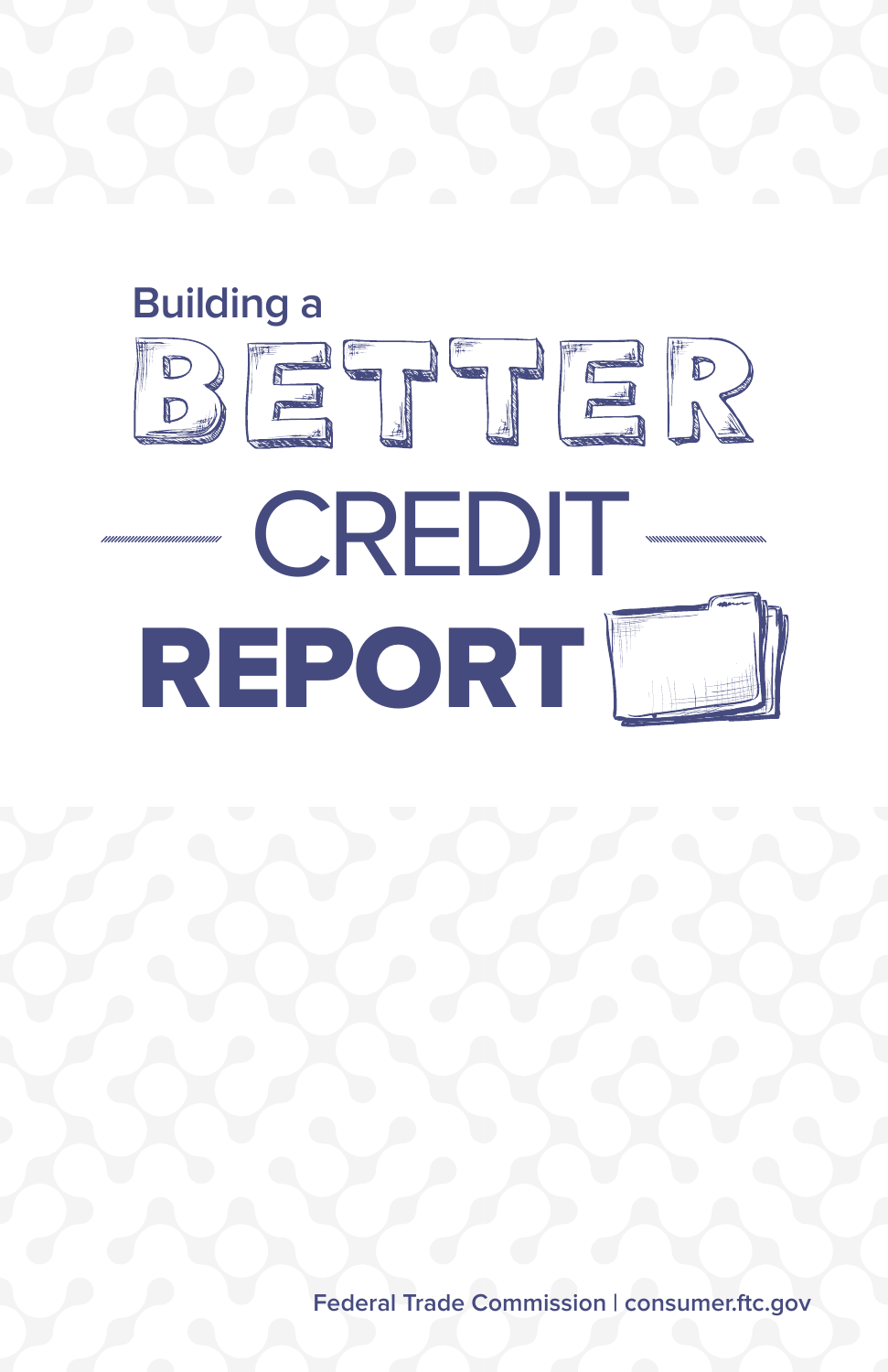

**Federal Trade Commission | consumer.[ftc.gov](http://www.ftc.gov)**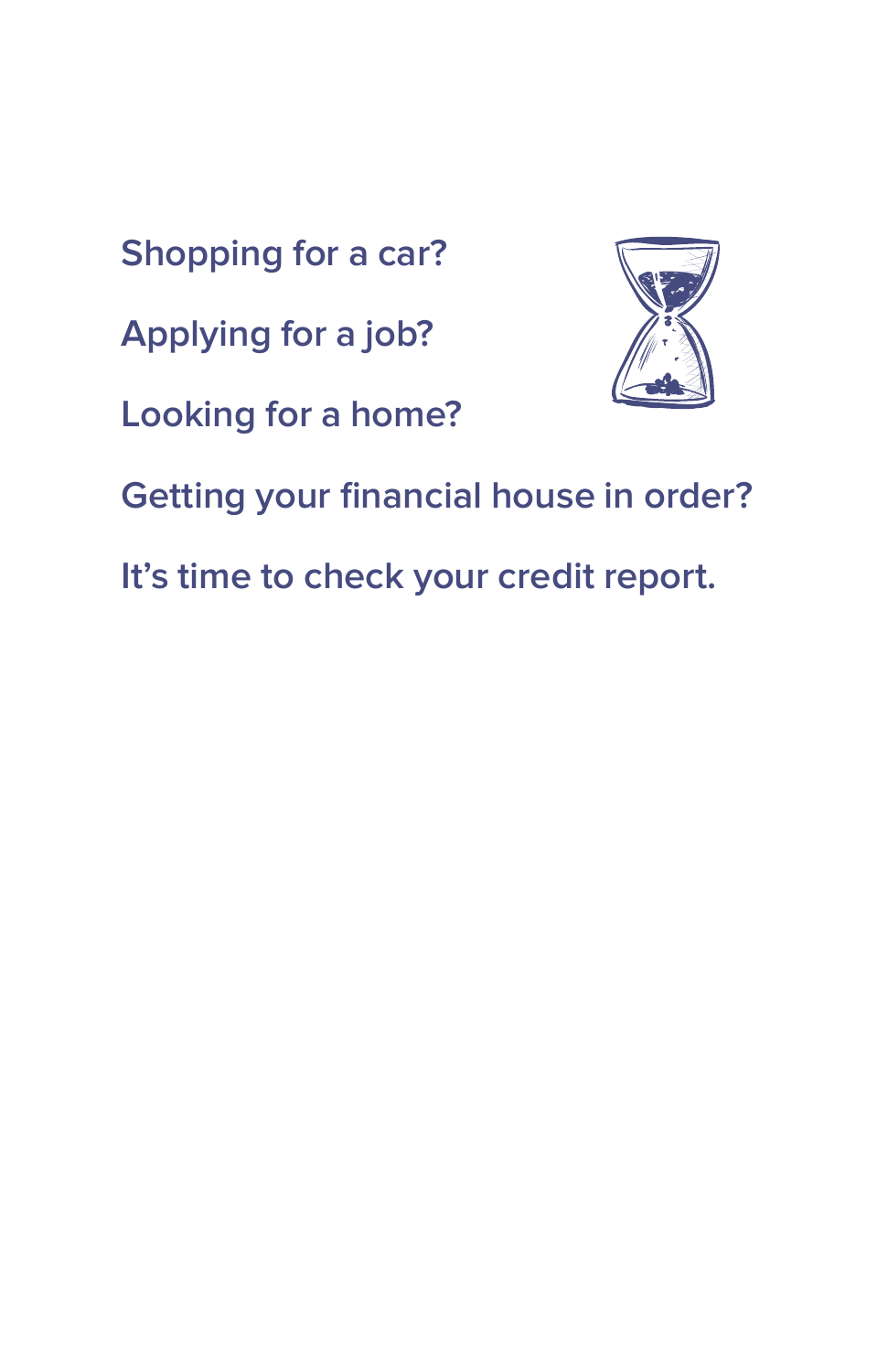**Shopping for a car?**

**Applying for a job?**

**Looking for a home?**



**Getting your financial house in order?**

**It's time to check your credit report.**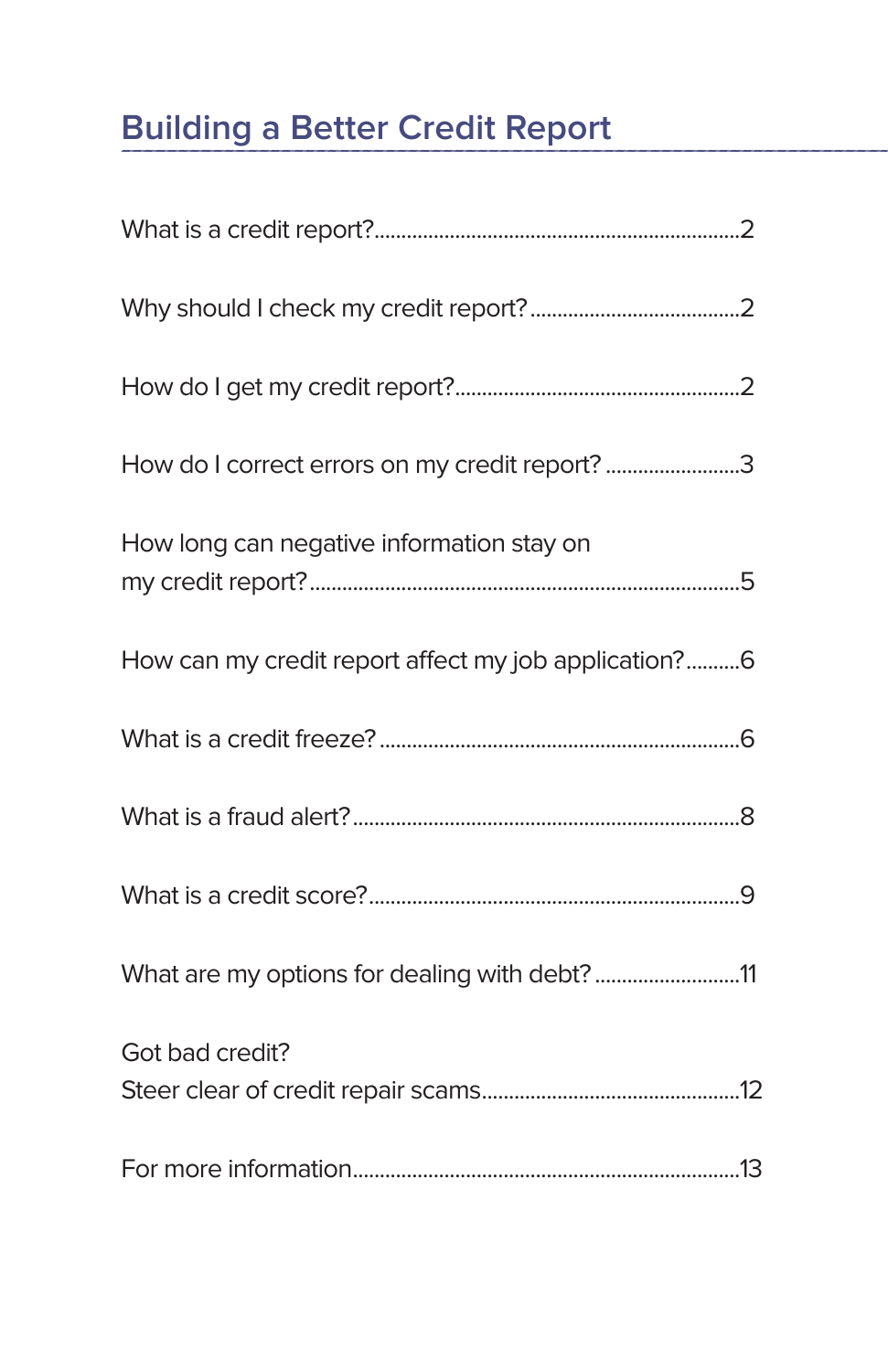# **Building a Better Credit Report**

| How do I correct errors on my credit report? 3       |
|------------------------------------------------------|
| How long can negative information stay on            |
| How can my credit report affect my job application?6 |
|                                                      |
|                                                      |
|                                                      |
| What are my options for dealing with debt?11         |
| Got bad credit?                                      |
|                                                      |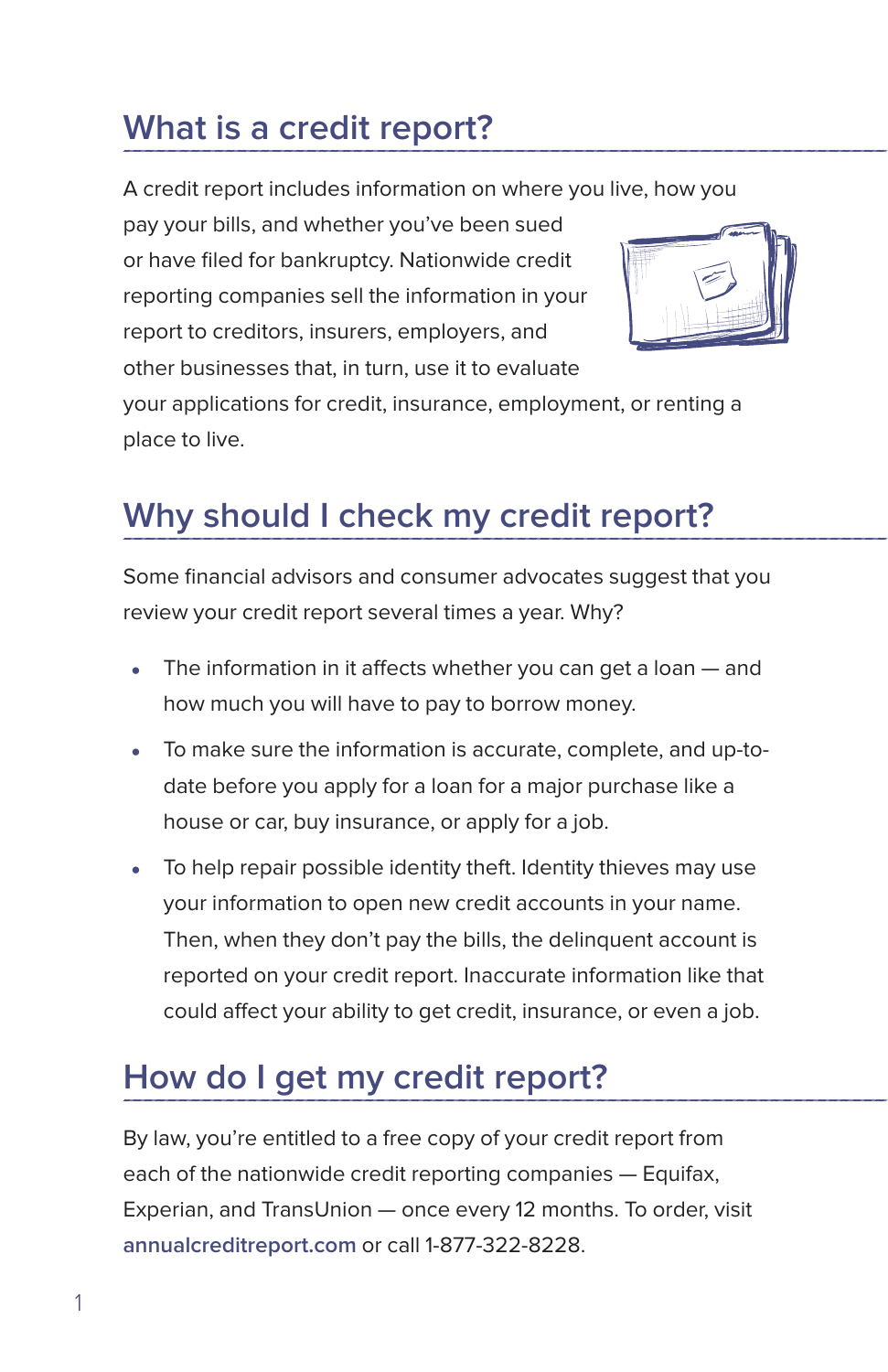### <span id="page-3-0"></span>**What is a credit report?**

A credit report includes information on where you live, how you

pay your bills, and whether you've been sued or have filed for bankruptcy. Nationwide credit reporting companies sell the information in your report to creditors, insurers, employers, and other businesses that, in turn, use it to evaluate



your applications for credit, insurance, employment, or renting a place to live.

## **Why should I check my credit report?**

Some financial advisors and consumer advocates suggest that you review your credit report several times a year. Why?

- The information in it affects whether you can get a loan  $-$  and how much you will have to pay to borrow money.
- To make sure the information is accurate, complete, and up-todate before you apply for a loan for a major purchase like a house or car, buy insurance, or apply for a job.
- $\bullet$  To help repair possible identity theft. Identity thieves may use your information to open new credit accounts in your name. Then, when they don't pay the bills, the delinquent account is reported on your credit report. Inaccurate information like that could affect your ability to get credit, insurance, or even a job.

# **How do I get my credit report?**

By law, you're entitled to a free copy of your credit report from each of the nationwide credit reporting companies — Equifax, Experian, and TransUnion — once every 12 months. To order, visit **annualcreditreport.com** or call 1-877-322-8228.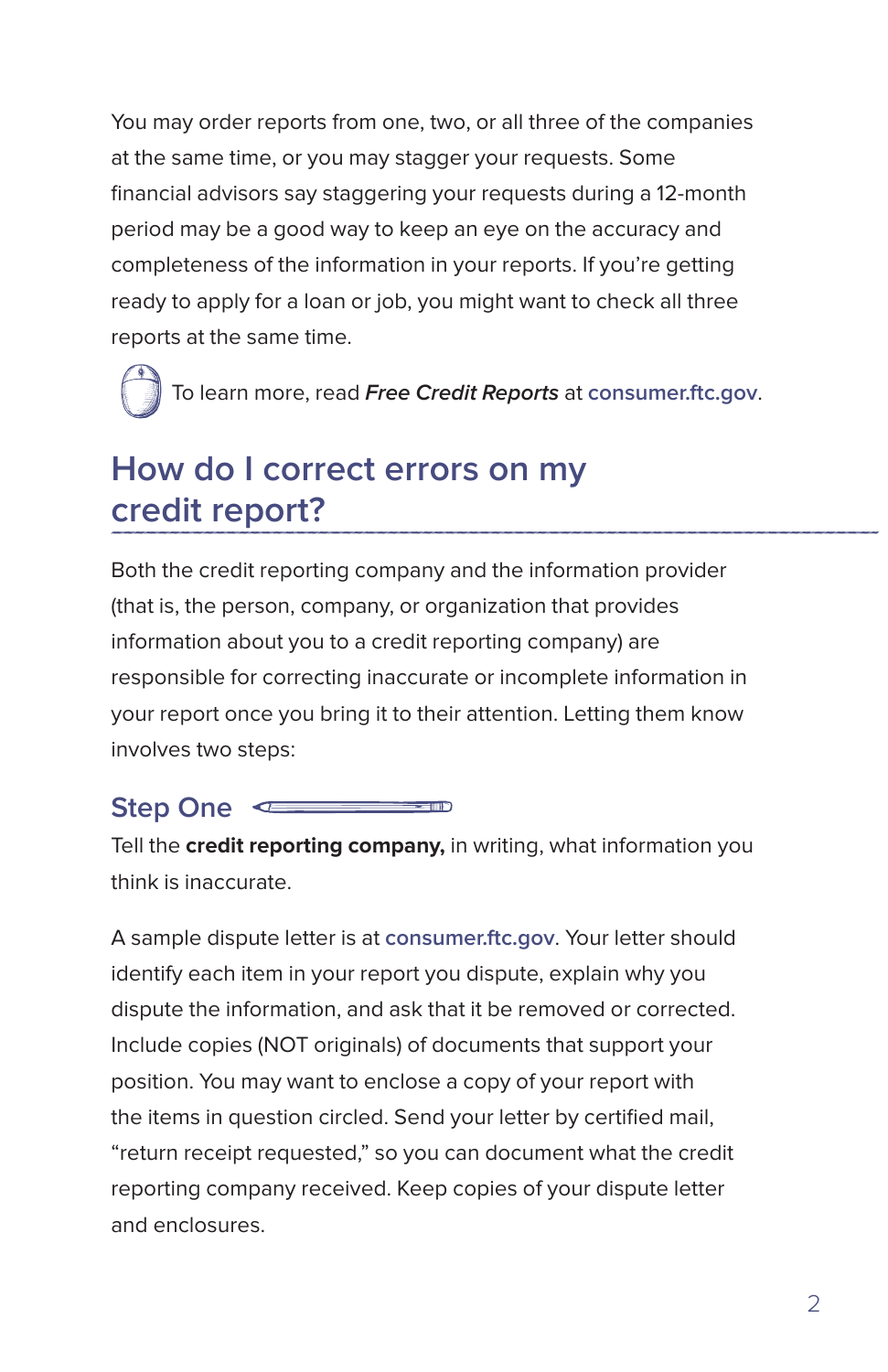<span id="page-4-0"></span>You may order reports from one, two, or all three of the companies at the same time, or you may stagger your requests. Some financial advisors say staggering your requests during a 12-month period may be a good way to keep an eye on the accuracy and completeness of the information in your reports. If you're getting ready to apply for a loan or job, you might want to check all three reports at the same time.

To learn more, read **Free Credit Reports** at **consumer.ftc.gov**.

### **How do I correct errors on my credit report?**

Both the credit reporting company and the information provider (that is, the person, company, or organization that provides information about you to a credit reporting company) are responsible for correcting inaccurate or incomplete information in your report once you bring it to their attention. Letting them know involves two steps:

#### **Step One**  $\sim$  00  $\sim$

Tell the **credit reporting company,** in writing, what information you think is inaccurate.

A sample dispute letter is at **consumer.ftc.gov**. Your letter should identify each item in your report you dispute, explain why you dispute the information, and ask that it be removed or corrected. Include copies (NOT originals) of documents that support your position. You may want to enclose a copy of your report with the items in question circled. Send your letter by certified mail, "return receipt requested," so you can document what the credit reporting company received. Keep copies of your dispute letter and enclosures.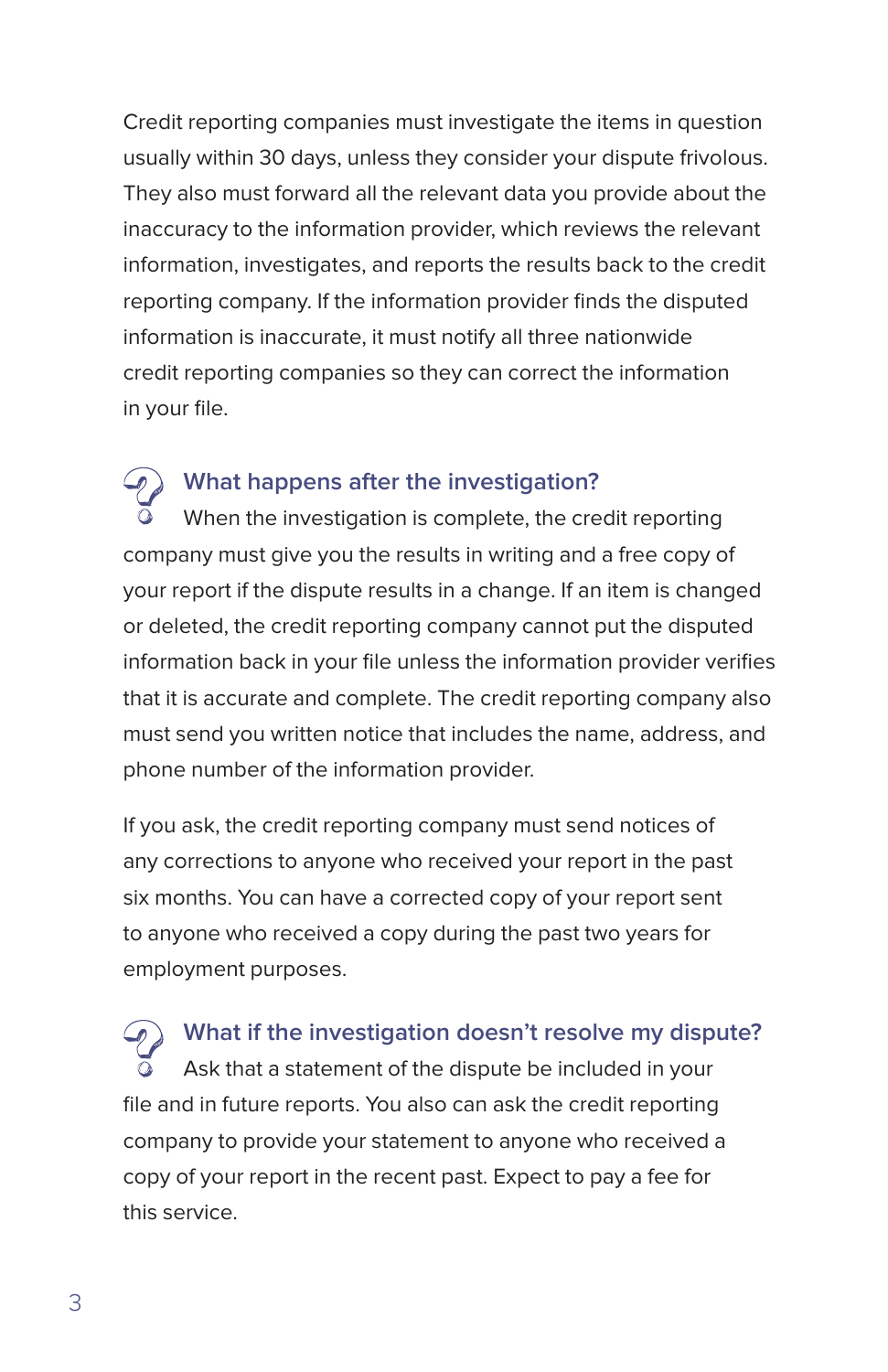Credit reporting companies must investigate the items in question usually within 30 days, unless they consider your dispute frivolous. They also must forward all the relevant data you provide about the inaccuracy to the information provider, which reviews the relevant information, investigates, and reports the results back to the credit reporting company. If the information provider finds the disputed information is inaccurate, it must notify all three nationwide credit reporting companies so they can correct the information in your file.

### **What happens after the investigation?**

When the investigation is complete, the credit reporting company must give you the results in writing and a free copy of your report if the dispute results in a change. If an item is changed or deleted, the credit reporting company cannot put the disputed information back in your file unless the information provider verifies that it is accurate and complete. The credit reporting company also must send you written notice that includes the name, address, and phone number of the information provider.

If you ask, the credit reporting company must send notices of any corrections to anyone who received your report in the past six months. You can have a corrected copy of your report sent to anyone who received a copy during the past two years for employment purposes.

**What if the investigation doesn't resolve my dispute?** Ask that a statement of the dispute be included in your file and in future reports. You also can ask the credit reporting company to provide your statement to anyone who received a copy of your report in the recent past. Expect to pay a fee for this service.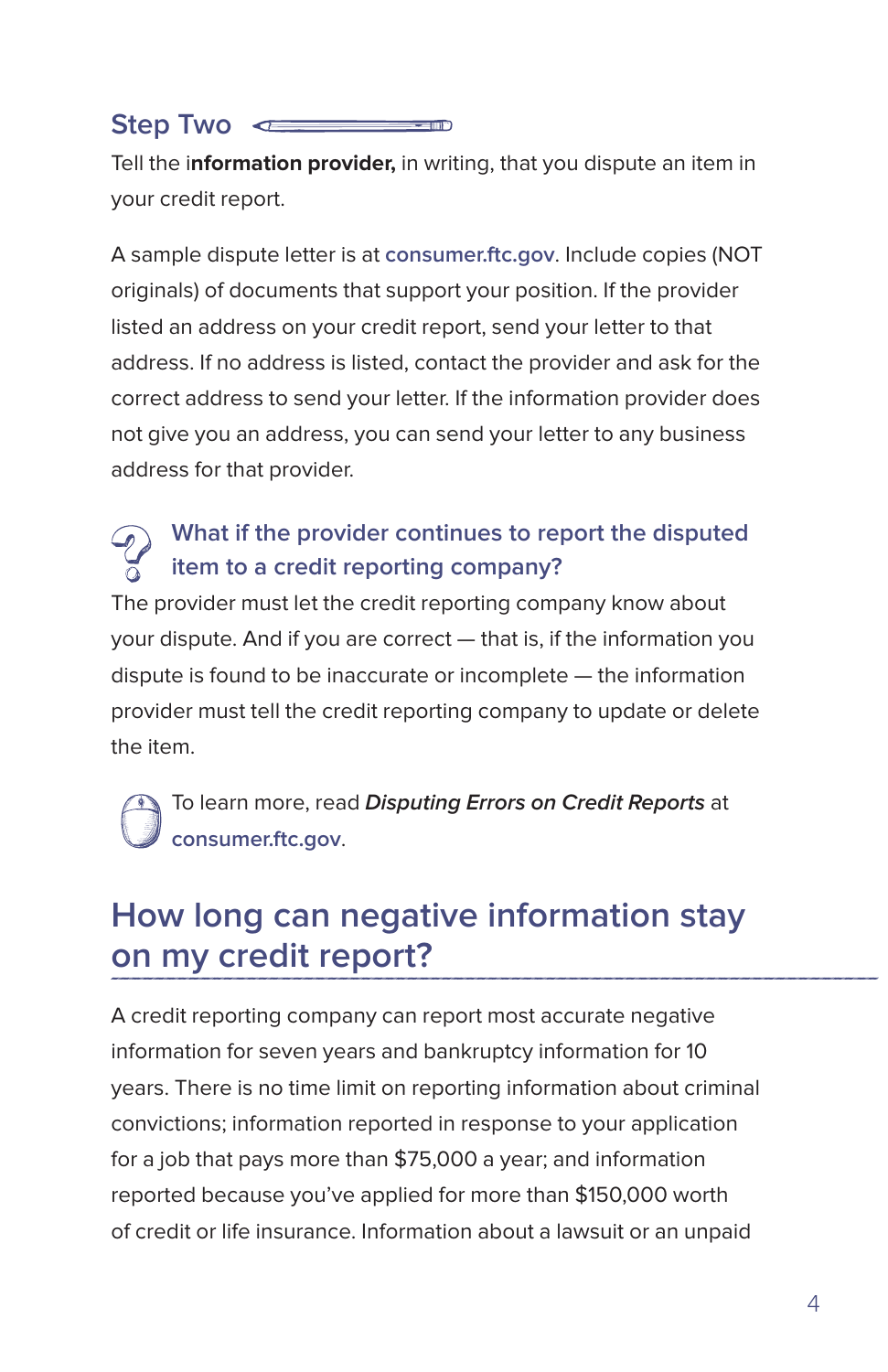#### <span id="page-6-0"></span>**Step Two**  $-101$

Tell the i**nformation provider,** in writing, that you dispute an item in your credit report.

A sample dispute letter is at **consumer.ftc.gov**. Include copies (NOT originals) of documents that support your position. If the provider listed an address on your credit report, send your letter to that address. If no address is listed, contact the provider and ask for the correct address to send your letter. If the information provider does not give you an address, you can send your letter to any business address for that provider.

### **What if the provider continues to report the disputed item to a credit reporting company?**

The provider must let the credit reporting company know about your dispute. And if you are correct — that is, if the information you dispute is found to be inaccurate or incomplete — the information provider must tell the credit reporting company to update or delete the item.

To learn more, read **Disputing Errors on Credit Reports** at **consumer.ftc.gov**.

### **How long can negative information stay on my credit report?**

A credit reporting company can report most accurate negative information for seven years and bankruptcy information for 10 years. There is no time limit on reporting information about criminal convictions; information reported in response to your application for a job that pays more than \$75,000 a year; and information reported because you've applied for more than \$150,000 worth of credit or life insurance. Information about a lawsuit or an unpaid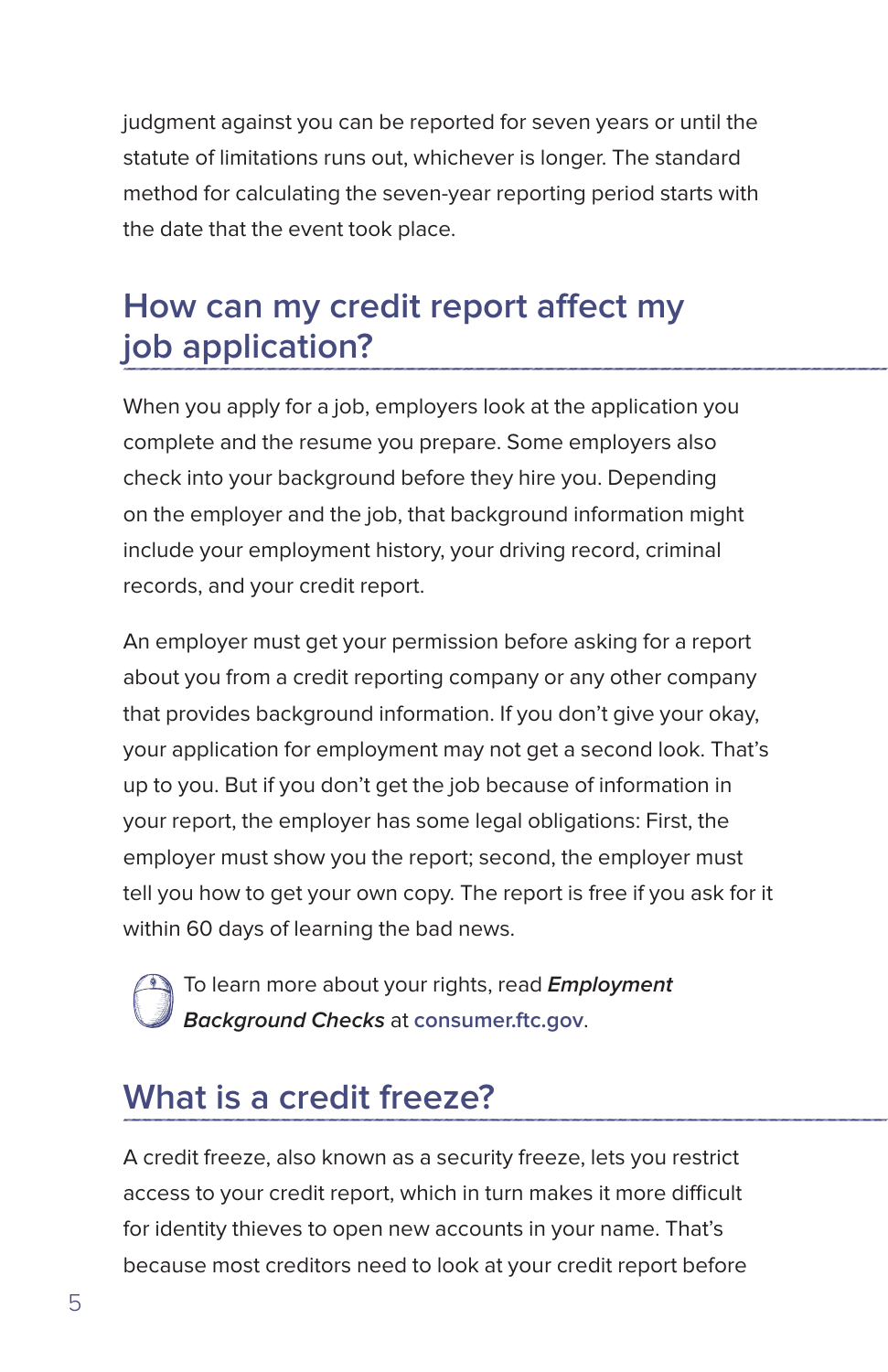<span id="page-7-0"></span>judgment against you can be reported for seven years or until the statute of limitations runs out, whichever is longer. The standard method for calculating the seven-year reporting period starts with the date that the event took place.

### **How can my credit report affect my job application?**

When you apply for a job, employers look at the application you complete and the resume you prepare. Some employers also check into your background before they hire you. Depending on the employer and the job, that background information might include your employment history, your driving record, criminal records, and your credit report.

An employer must get your permission before asking for a report about you from a credit reporting company or any other company that provides background information. If you don't give your okay, your application for employment may not get a second look. That's up to you. But if you don't get the job because of information in your report, the employer has some legal obligations: First, the employer must show you the report; second, the employer must tell you how to get your own copy. The report is free if you ask for it within 60 days of learning the bad news.

To learn more about your rights, read **Employment Background Checks** at **consumer.ftc.gov**.

## **What is a credit freeze?**

A credit freeze, also known as a security freeze, lets you restrict access to your credit report, which in turn makes it more difficult for identity thieves to open new accounts in your name. That's because most creditors need to look at your credit report before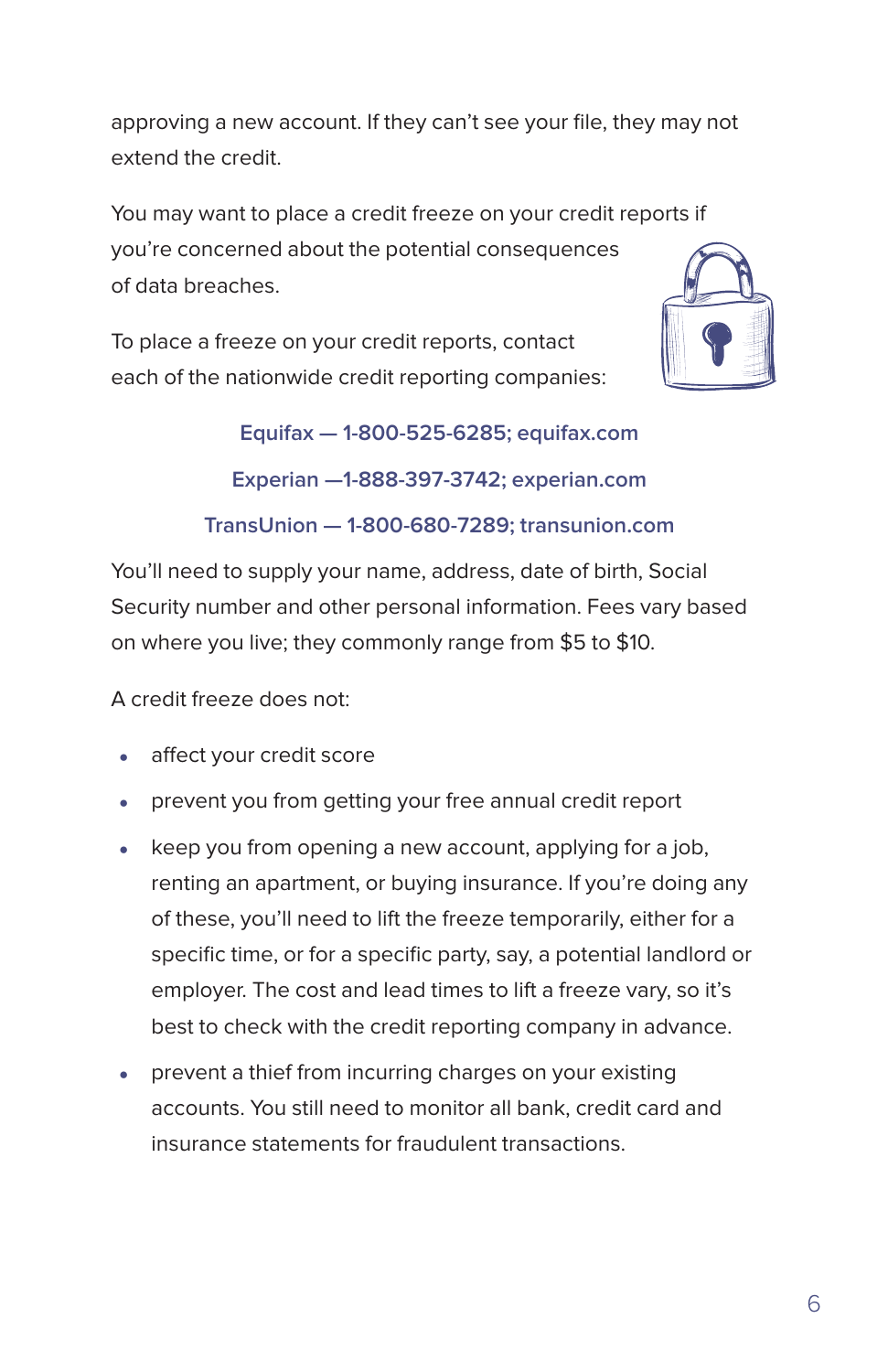approving a new account. If they can't see your file, they may not extend the credit.

You may want to place a credit freeze on your credit reports if you're concerned about the potential consequences of data breaches.

To place a freeze on your credit reports, contact each of the nationwide credit reporting companies:



**Equifax — 1‑800‑525‑6285; equifax.com Experian —1‑888‑397‑3742; experian.com**

**TransUnion — 1‑800‑680‑7289; transunion.com**

You'll need to supply your name, address, date of birth, Social Security number and other personal information. Fees vary based on where you live; they commonly range from \$5 to \$10.

A credit freeze does not:

- affect your credit score
- prevent you from getting your free annual credit report
- keep you from opening a new account, applying for a job, renting an apartment, or buying insurance. If you're doing any of these, you'll need to lift the freeze temporarily, either for a specific time, or for a specific party, say, a potential landlord or employer. The cost and lead times to lift a freeze vary, so it's best to check with the credit reporting company in advance.
- prevent a thief from incurring charges on your existing accounts. You still need to monitor all bank, credit card and insurance statements for fraudulent transactions.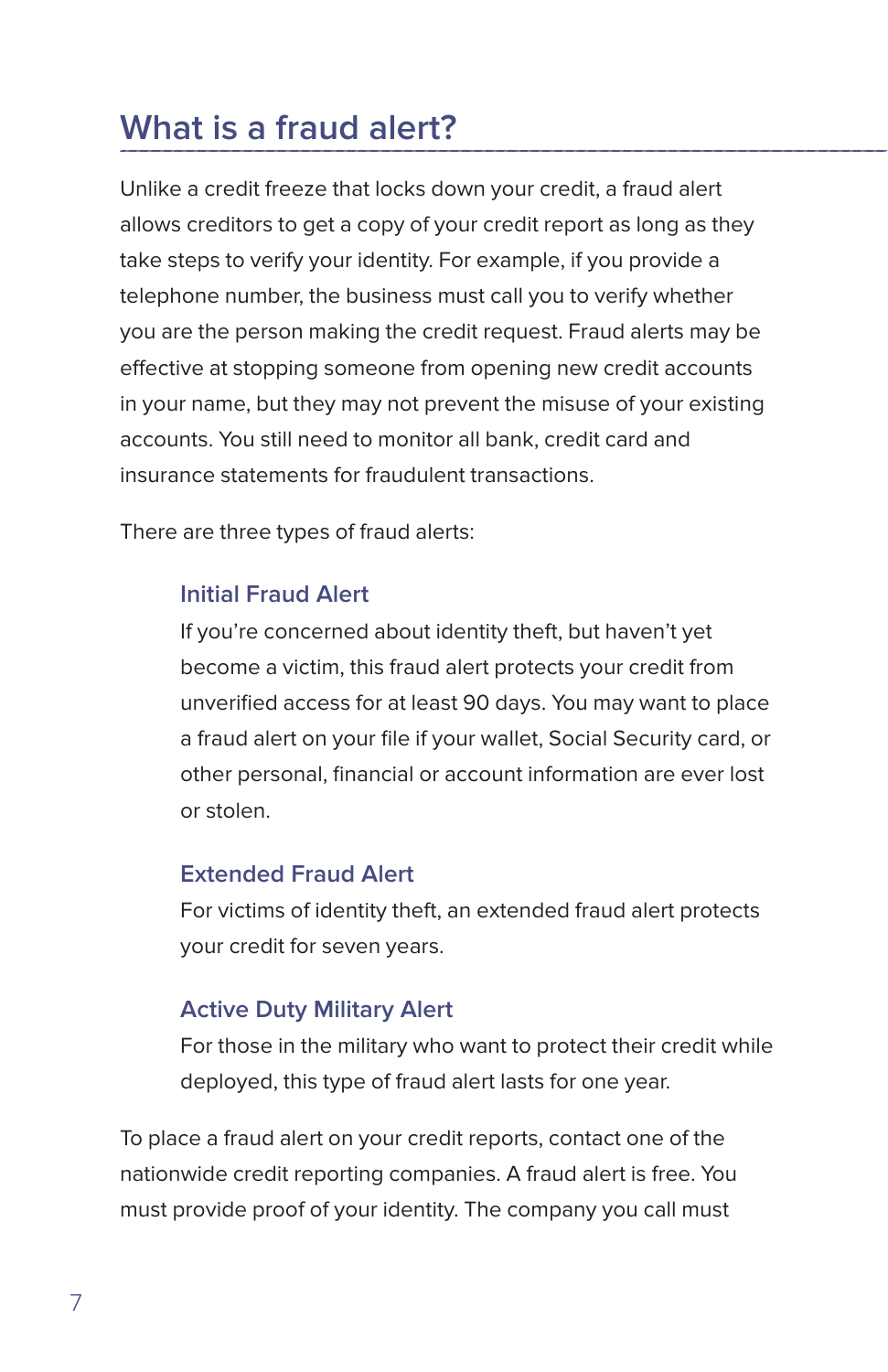## <span id="page-9-0"></span>**What is a fraud alert?**

Unlike a credit freeze that locks down your credit, a fraud alert allows creditors to get a copy of your credit report as long as they take steps to verify your identity. For example, if you provide a telephone number, the business must call you to verify whether you are the person making the credit request. Fraud alerts may be effective at stopping someone from opening new credit accounts in your name, but they may not prevent the misuse of your existing accounts. You still need to monitor all bank, credit card and insurance statements for fraudulent transactions.

There are three types of fraud alerts:

#### **Initial Fraud Alert**

If you're concerned about identity theft, but haven't yet become a victim, this fraud alert protects your credit from unverified access for at least 90 days. You may want to place a fraud alert on your file if your wallet, Social Security card, or other personal, financial or account information are ever lost or stolen.

#### **Extended Fraud Alert**

For victims of identity theft, an extended fraud alert protects your credit for seven years.

#### **Active Duty Military Alert**

For those in the military who want to protect their credit while deployed, this type of fraud alert lasts for one year.

To place a fraud alert on your credit reports, contact one of the nationwide credit reporting companies. A fraud alert is free. You must provide proof of your identity. The company you call must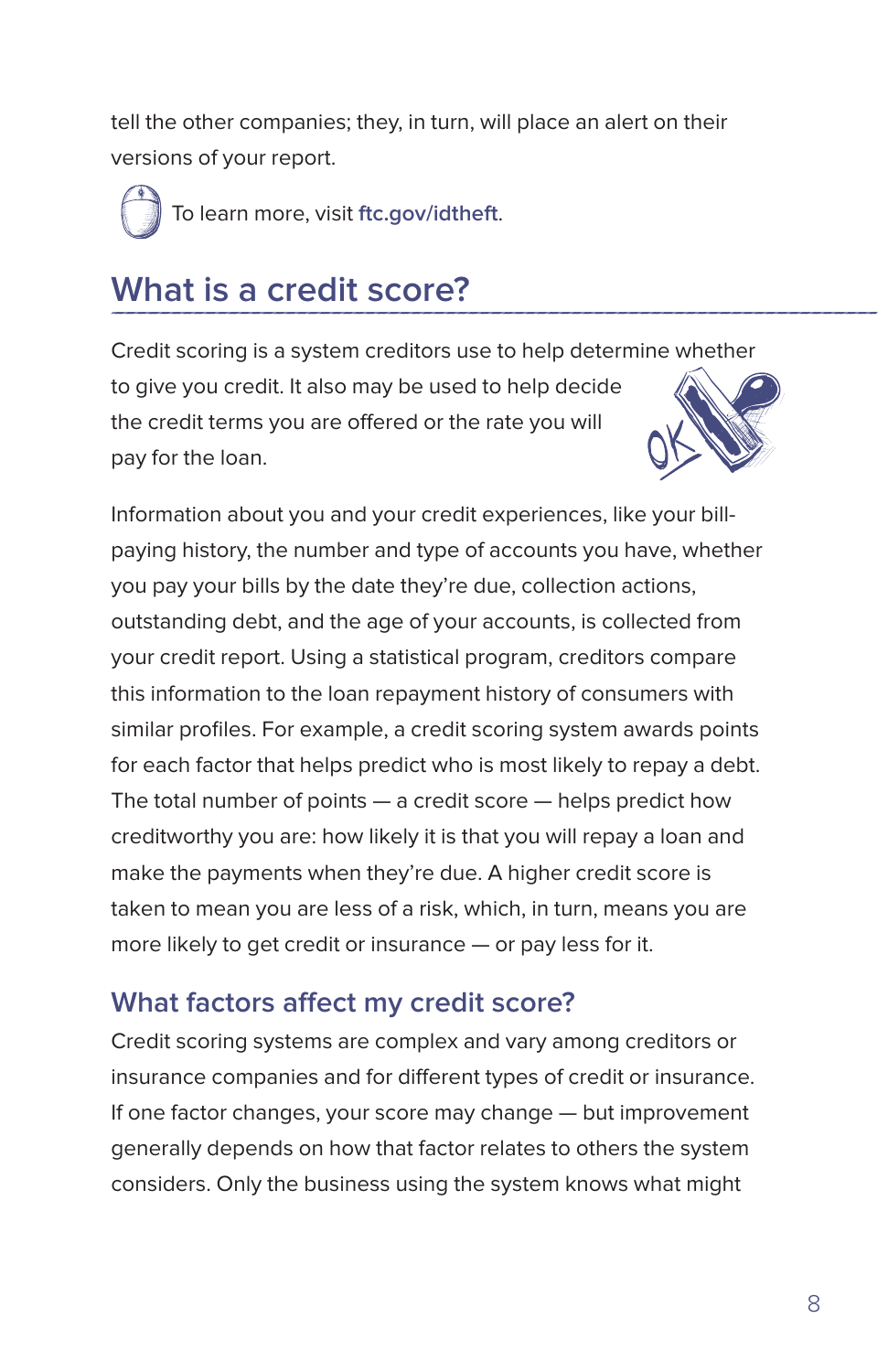<span id="page-10-0"></span>tell the other companies; they, in turn, will place an alert on their versions of your report.

To learn more, visit **ftc.gov/idtheft**.

## **What is a credit score?**

Credit scoring is a system creditors use to help determine whether to give you credit. It also may be used to help decide the credit terms you are offered or the rate you will pay for the loan.

Information about you and your credit experiences, like your billpaying history, the number and type of accounts you have, whether you pay your bills by the date they're due, collection actions, outstanding debt, and the age of your accounts, is collected from your credit report. Using a statistical program, creditors compare this information to the loan repayment history of consumers with similar profiles. For example, a credit scoring system awards points for each factor that helps predict who is most likely to repay a debt. The total number of points — a credit score — helps predict how creditworthy you are: how likely it is that you will repay a loan and make the payments when they're due. A higher credit score is taken to mean you are less of a risk, which, in turn, means you are more likely to get credit or insurance — or pay less for it.

### **What factors affect my credit score?**

Credit scoring systems are complex and vary among creditors or insurance companies and for different types of credit or insurance. If one factor changes, your score may change — but improvement generally depends on how that factor relates to others the system considers. Only the business using the system knows what might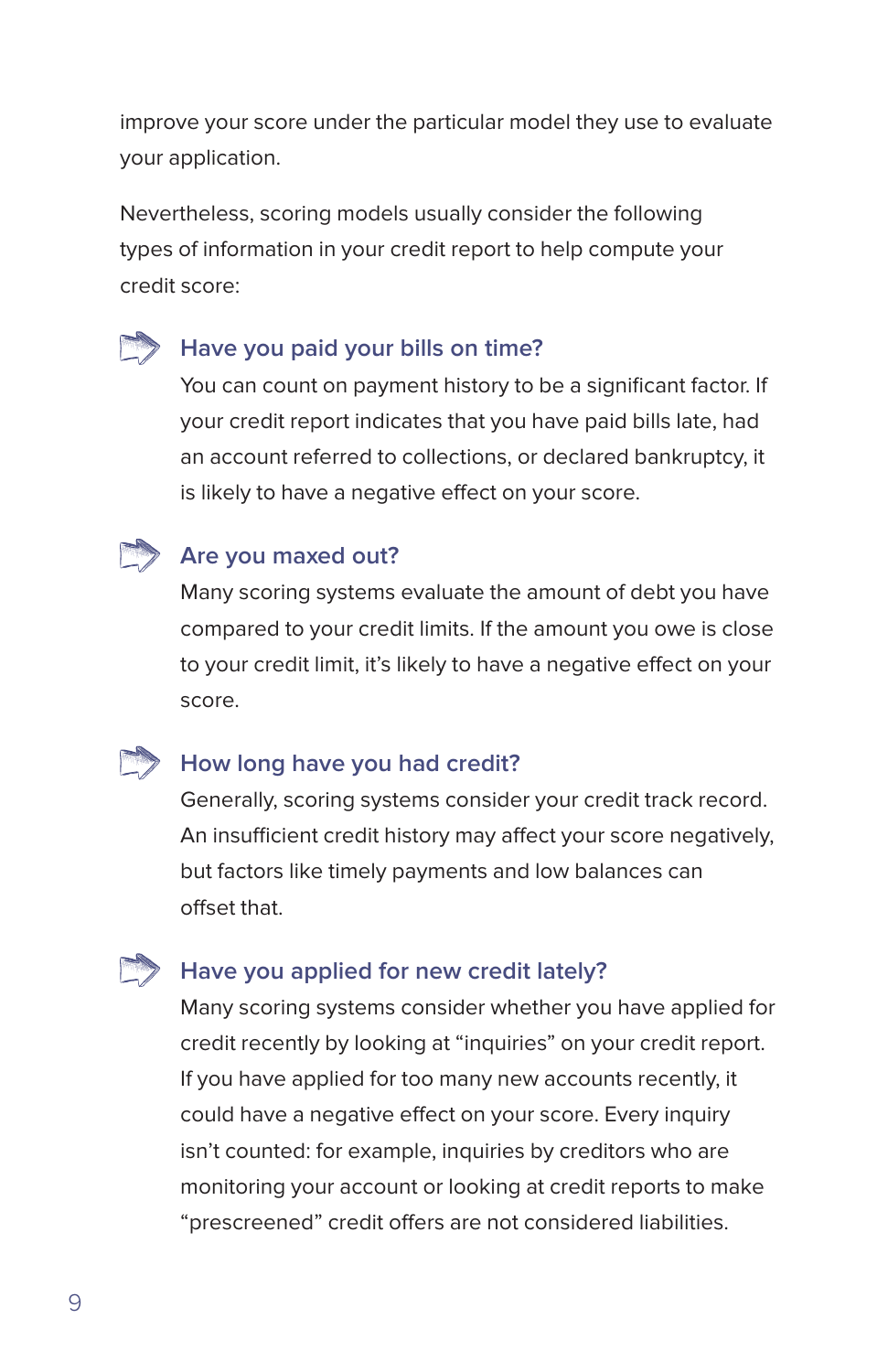improve your score under the particular model they use to evaluate your application.

Nevertheless, scoring models usually consider the following types of information in your credit report to help compute your credit score:

### **Have you paid your bills on time?**

You can count on payment history to be a significant factor. If your credit report indicates that you have paid bills late, had an account referred to collections, or declared bankruptcy, it is likely to have a negative effect on your score.



#### **Are you maxed out?**

Many scoring systems evaluate the amount of debt you have compared to your credit limits. If the amount you owe is close to your credit limit, it's likely to have a negative effect on your score.

#### **How long have you had credit?**

Generally, scoring systems consider your credit track record. An insufficient credit history may affect your score negatively, but factors like timely payments and low balances can offset that.

### **Have you applied for new credit lately?**

Many scoring systems consider whether you have applied for credit recently by looking at "inquiries" on your credit report. If you have applied for too many new accounts recently, it could have a negative effect on your score. Every inquiry isn't counted: for example, inquiries by creditors who are monitoring your account or looking at credit reports to make "prescreened" credit offers are not considered liabilities.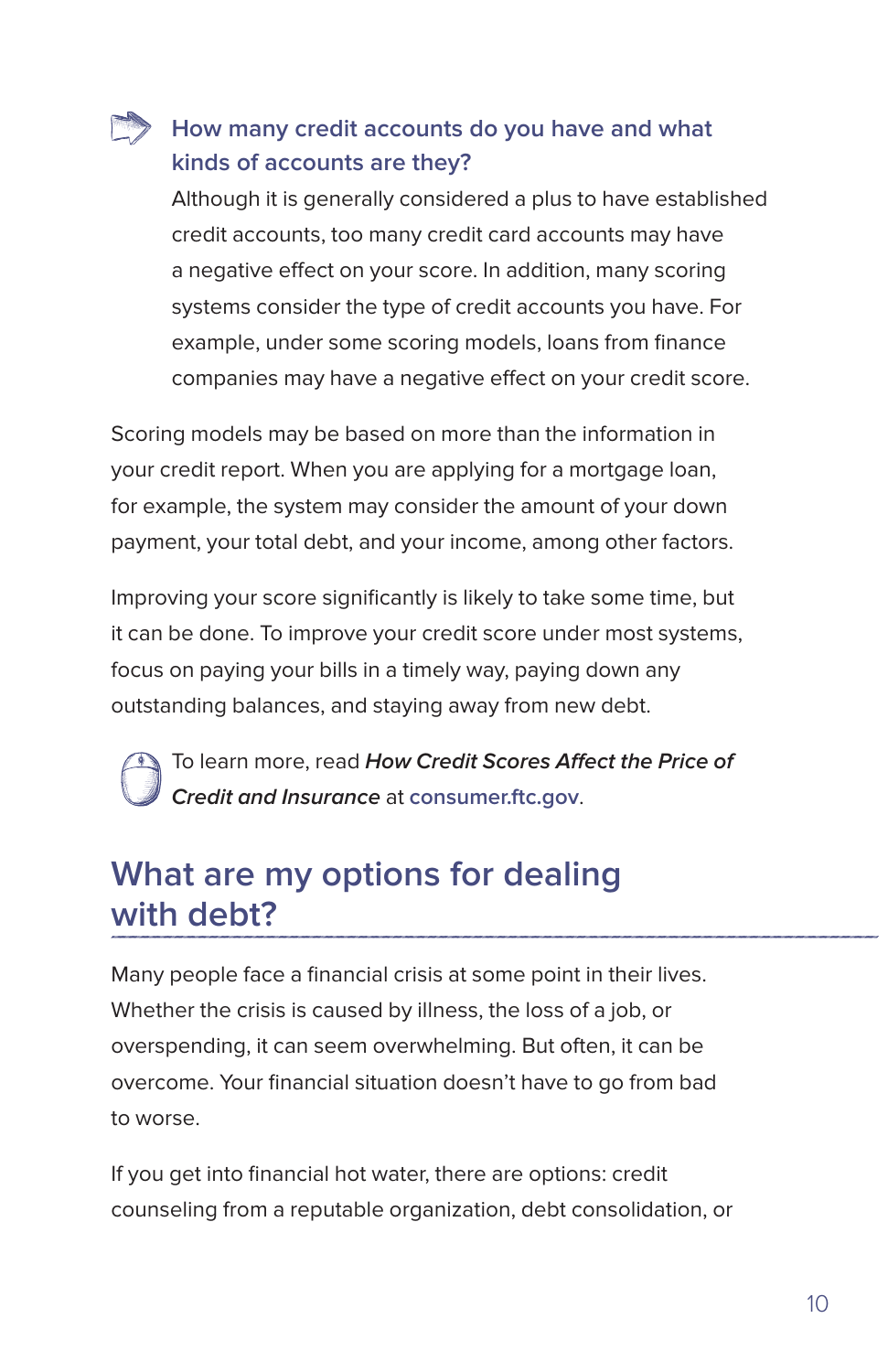### <span id="page-12-0"></span>**How many credit accounts do you have and what kinds of accounts are they?**

Although it is generally considered a plus to have established credit accounts, too many credit card accounts may have a negative effect on your score. In addition, many scoring systems consider the type of credit accounts you have. For example, under some scoring models, loans from finance companies may have a negative effect on your credit score.

Scoring models may be based on more than the information in your credit report. When you are applying for a mortgage loan, for example, the system may consider the amount of your down payment, your total debt, and your income, among other factors.

Improving your score significantly is likely to take some time, but it can be done. To improve your credit score under most systems, focus on paying your bills in a timely way, paying down any outstanding balances, and staying away from new debt.

To learn more, read **How Credit Scores Affect the Price of Credit and Insurance** at **consumer.ftc.gov**.

### **What are my options for dealing with debt?**

Many people face a financial crisis at some point in their lives. Whether the crisis is caused by illness, the loss of a job, or overspending, it can seem overwhelming. But often, it can be overcome. Your financial situation doesn't have to go from bad to worse.

If you get into financial hot water, there are options: credit counseling from a reputable organization, debt consolidation, or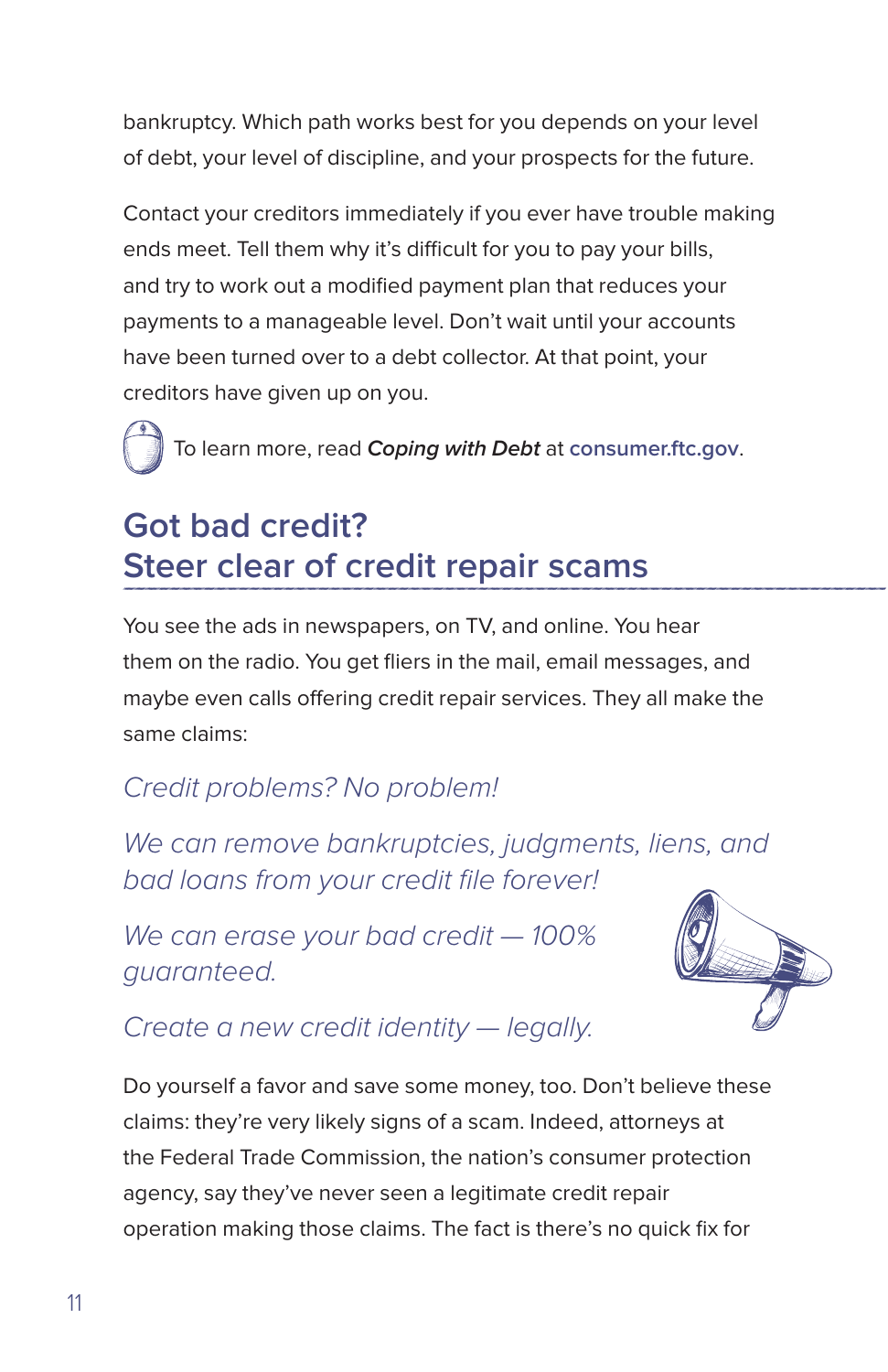<span id="page-13-0"></span>bankruptcy. Which path works best for you depends on your level of debt, your level of discipline, and your prospects for the future.

Contact your creditors immediately if you ever have trouble making ends meet. Tell them why it's difficult for you to pay your bills, and try to work out a modified payment plan that reduces your payments to a manageable level. Don't wait until your accounts have been turned over to a debt collector. At that point, your creditors have given up on you.

To learn more, read **Coping with Debt** at **consumer.ftc.gov**.

## **Got bad credit? Steer clear of credit repair scams**

You see the ads in newspapers, on TV, and online. You hear them on the radio. You get fliers in the mail, email messages, and maybe even calls offering credit repair services. They all make the same claims:

### *Credit problems? No problem!*

*We can remove bankruptcies, judgments, liens, and bad loans from your credit file forever!*

*We can erase your bad credit — 100% guaranteed.*



### *Create a new credit identity — legally.*

Do yourself a favor and save some money, too. Don't believe these claims: they're very likely signs of a scam. Indeed, attorneys at the Federal Trade Commission, the nation's consumer protection agency, say they've never seen a legitimate credit repair operation making those claims. The fact is there's no quick fix for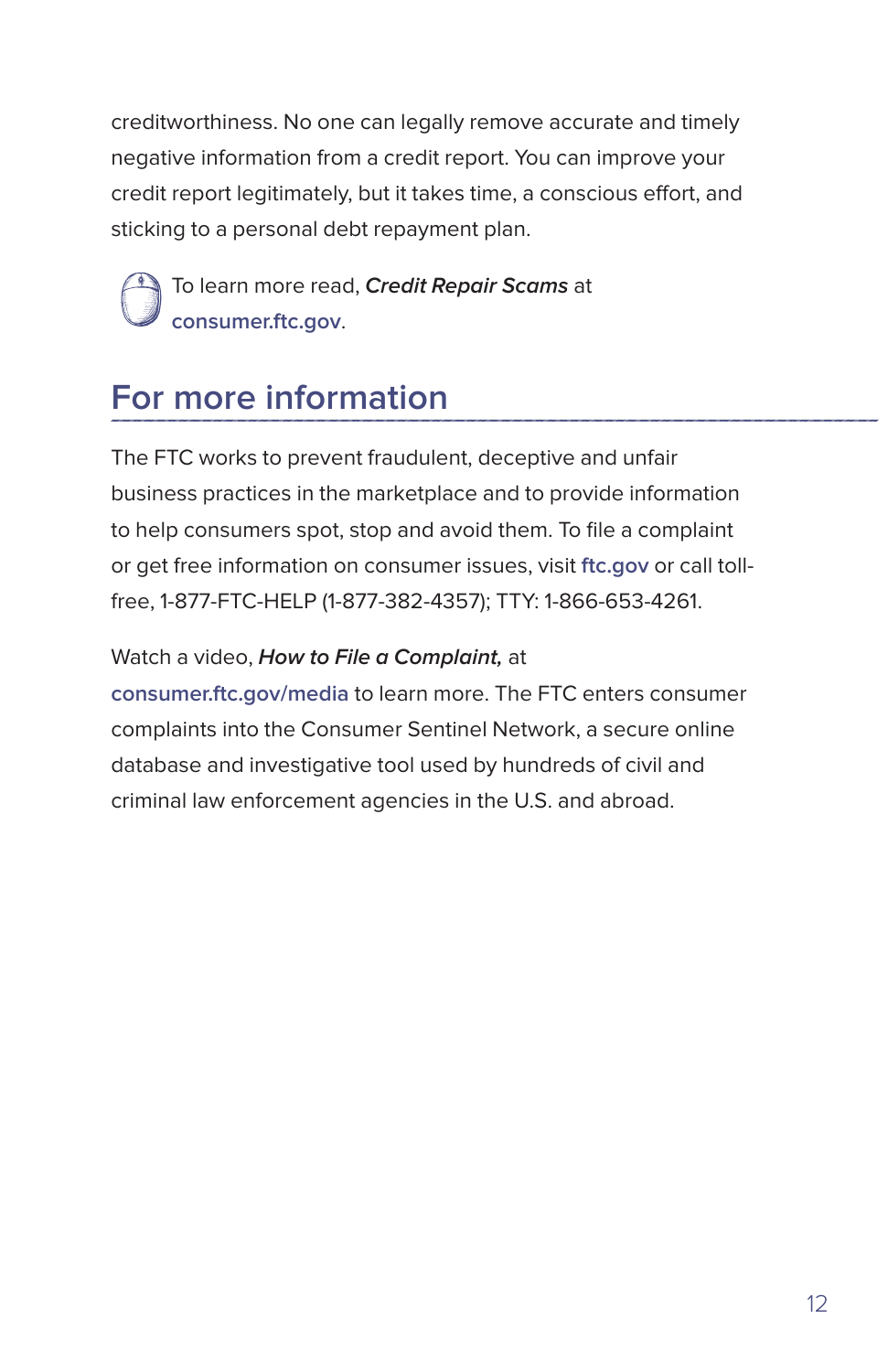<span id="page-14-0"></span>creditworthiness. No one can legally remove accurate and timely negative information from a credit report. You can improve your credit report legitimately, but it takes time, a conscious effort, and sticking to a personal debt repayment plan.

To learn more read, **Credit Repair Scams** at **consumer.ftc.gov**.

## **For more information**

The FTC works to prevent fraudulent, deceptive and unfair business practices in the marketplace and to provide information to help consumers spot, stop and avoid them. To file a complaint or get free information on consumer issues, visit **ftc.gov** or call tollfree, 1-877-FTC-HELP (1-877-382-4357); TTY: 1-866-653-4261.

#### Watch a video, **How to File a Complaint,** at

**consumer.ftc.gov/media** to learn more. The FTC enters consumer complaints into the Consumer Sentinel Network, a secure online database and investigative tool used by hundreds of civil and criminal law enforcement agencies in the U.S. and abroad.